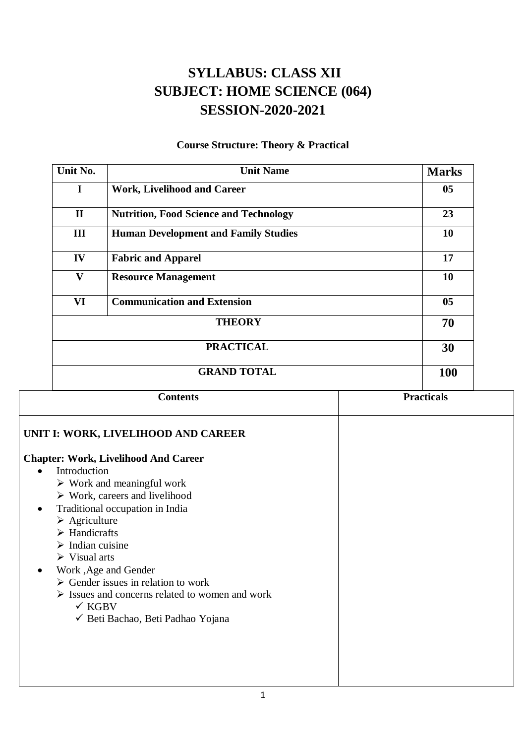## **SYLLABUS: CLASS XII SUBJECT: HOME SCIENCE (064) SESSION-2020-2021**

## **Course Structure: Theory & Practical**

| Unit No.     | <b>Unit Name</b>                              | <b>Marks</b>    |
|--------------|-----------------------------------------------|-----------------|
| I            | <b>Work, Livelihood and Career</b>            | 05 <sub>1</sub> |
| $\mathbf{I}$ | <b>Nutrition, Food Science and Technology</b> | 23              |
| III          | <b>Human Development and Family Studies</b>   | 10              |
| IV           | <b>Fabric and Apparel</b>                     | 17              |
| $\mathbf{V}$ | <b>Resource Management</b>                    | 10              |
| VI           | <b>Communication and Extension</b>            | 0 <sub>5</sub>  |
|              | <b>THEORY</b>                                 | 70              |
|              | <b>PRACTICAL</b>                              | 30              |
|              | <b>GRAND TOTAL</b>                            | 100             |

| <b>Contents</b>                                                | <b>Practicals</b> |
|----------------------------------------------------------------|-------------------|
| UNIT I: WORK, LIVELIHOOD AND CAREER                            |                   |
| <b>Chapter: Work, Livelihood And Career</b>                    |                   |
| Introduction                                                   |                   |
| $\triangleright$ Work and meaningful work                      |                   |
| $\triangleright$ Work, careers and livelihood                  |                   |
| Traditional occupation in India<br>٠                           |                   |
| $\triangleright$ Agriculture                                   |                   |
| $\triangleright$ Handicrafts                                   |                   |
| $\triangleright$ Indian cuisine                                |                   |
| $\triangleright$ Visual arts                                   |                   |
| Work, Age and Gender                                           |                   |
| $\triangleright$ Gender issues in relation to work             |                   |
| $\triangleright$ Issues and concerns related to women and work |                   |
| $\checkmark$ KGBV                                              |                   |
| ◆ Beti Bachao, Beti Padhao Yojana                              |                   |
|                                                                |                   |
|                                                                |                   |
|                                                                |                   |
|                                                                |                   |
|                                                                |                   |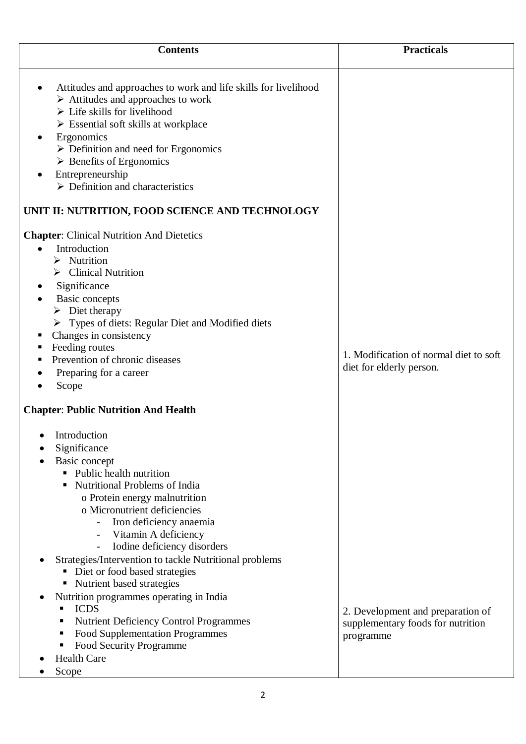| <b>Contents</b>                                                                                                                                                                                                                                                                                                                                                                                                                                                                                                        | <b>Practicals</b>                                                      |
|------------------------------------------------------------------------------------------------------------------------------------------------------------------------------------------------------------------------------------------------------------------------------------------------------------------------------------------------------------------------------------------------------------------------------------------------------------------------------------------------------------------------|------------------------------------------------------------------------|
| Attitudes and approaches to work and life skills for livelihood<br>$\triangleright$ Attitudes and approaches to work<br>$\triangleright$ Life skills for livelihood<br>$\triangleright$ Essential soft skills at workplace<br>Ergonomics<br>$\triangleright$ Definition and need for Ergonomics<br>$\triangleright$ Benefits of Ergonomics<br>Entrepreneurship<br>$\triangleright$ Definition and characteristics                                                                                                      |                                                                        |
| UNIT II: NUTRITION, FOOD SCIENCE AND TECHNOLOGY                                                                                                                                                                                                                                                                                                                                                                                                                                                                        |                                                                        |
| <b>Chapter:</b> Clinical Nutrition And Dietetics<br>Introduction<br>$\triangleright$ Nutrition<br>$\triangleright$ Clinical Nutrition<br>Significance<br>Basic concepts<br>$\triangleright$ Diet therapy<br>> Types of diets: Regular Diet and Modified diets<br>Changes in consistency<br>Feeding routes<br>ш<br>Prevention of chronic diseases<br>Preparing for a career<br>Scope                                                                                                                                    | 1. Modification of normal diet to soft<br>diet for elderly person.     |
| <b>Chapter: Public Nutrition And Health</b>                                                                                                                                                                                                                                                                                                                                                                                                                                                                            |                                                                        |
| • Introduction<br>Significance<br>Basic concept<br>• Public health nutrition<br><b>Nutritional Problems of India</b><br>o Protein energy malnutrition<br>o Micronutrient deficiencies<br>Iron deficiency anaemia<br>Vitamin A deficiency<br>Iodine deficiency disorders<br>Strategies/Intervention to tackle Nutritional problems<br>Diet or food based strategies<br>• Nutrient based strategies<br>Nutrition programmes operating in India<br><b>ICDS</b><br>٠<br><b>Nutrient Deficiency Control Programmes</b><br>п | 2. Development and preparation of<br>supplementary foods for nutrition |
| <b>Food Supplementation Programmes</b><br>п<br>Food Security Programme<br><b>Health Care</b><br>Scope                                                                                                                                                                                                                                                                                                                                                                                                                  | programme                                                              |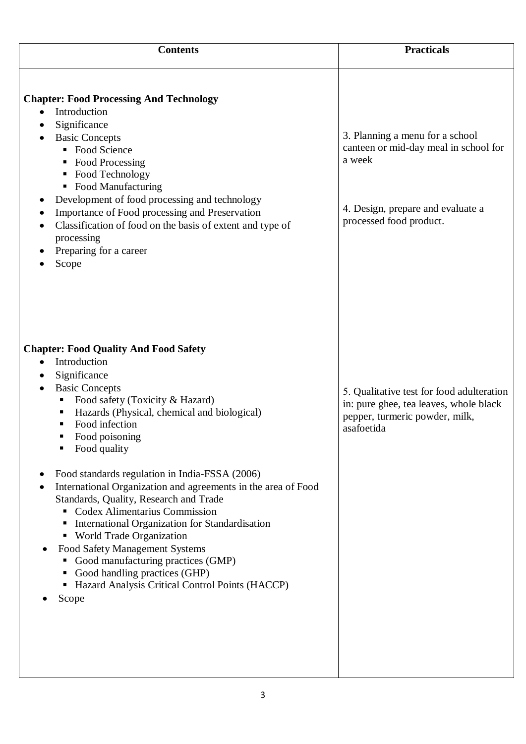| <b>Contents</b>                                                                                                                                                                                                                                                                                                                                                                                                                                                                                                                                                                                                                                                                                                  | <b>Practicals</b>                                                                                                                                  |
|------------------------------------------------------------------------------------------------------------------------------------------------------------------------------------------------------------------------------------------------------------------------------------------------------------------------------------------------------------------------------------------------------------------------------------------------------------------------------------------------------------------------------------------------------------------------------------------------------------------------------------------------------------------------------------------------------------------|----------------------------------------------------------------------------------------------------------------------------------------------------|
| <b>Chapter: Food Processing And Technology</b><br>Introduction<br>$\bullet$<br>Significance<br><b>Basic Concepts</b><br>• Food Science<br>■ Food Processing<br>■ Food Technology<br>• Food Manufacturing<br>Development of food processing and technology<br>Importance of Food processing and Preservation<br>Classification of food on the basis of extent and type of<br>processing<br>Preparing for a career<br>Scope                                                                                                                                                                                                                                                                                        | 3. Planning a menu for a school<br>canteen or mid-day meal in school for<br>a week<br>4. Design, prepare and evaluate a<br>processed food product. |
| <b>Chapter: Food Quality And Food Safety</b><br>Introduction<br>$\bullet$<br>Significance<br><b>Basic Concepts</b><br>Food safety (Toxicity & Hazard)<br>Hazards (Physical, chemical and biological)<br>Food infection<br>Food poisoning<br>Food quality<br>Food standards regulation in India-FSSA (2006)<br>International Organization and agreements in the area of Food<br>Standards, Quality, Research and Trade<br>Codex Alimentarius Commission<br>International Organization for Standardisation<br>ш<br>• World Trade Organization<br>Food Safety Management Systems<br>Good manufacturing practices (GMP)<br>Good handling practices (GHP)<br>Hazard Analysis Critical Control Points (HACCP)<br>Scope | 5. Qualitative test for food adulteration<br>in: pure ghee, tea leaves, whole black<br>pepper, turmeric powder, milk,<br>asafoetida                |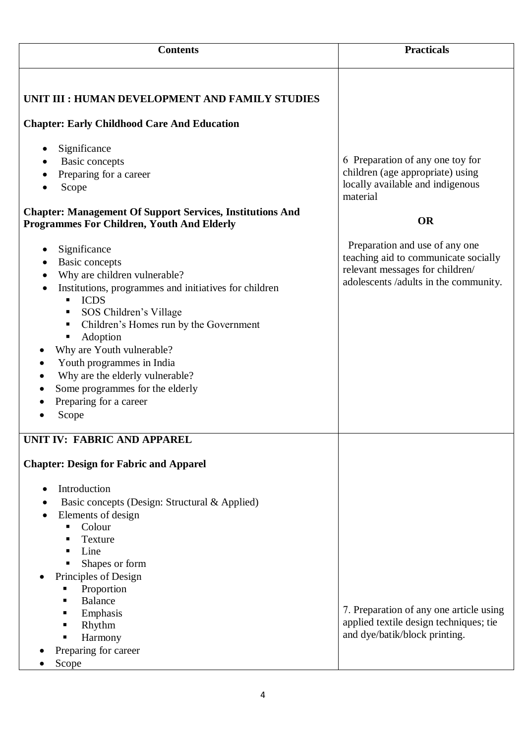| <b>Contents</b>                                                                                                                                                                                                                                                                                                                                                                                                                                | <b>Practicals</b>                                                                                                                                  |
|------------------------------------------------------------------------------------------------------------------------------------------------------------------------------------------------------------------------------------------------------------------------------------------------------------------------------------------------------------------------------------------------------------------------------------------------|----------------------------------------------------------------------------------------------------------------------------------------------------|
| UNIT III : HUMAN DEVELOPMENT AND FAMILY STUDIES<br><b>Chapter: Early Childhood Care And Education</b>                                                                                                                                                                                                                                                                                                                                          |                                                                                                                                                    |
| Significance<br><b>Basic concepts</b><br>Preparing for a career<br>Scope<br><b>Chapter: Management Of Support Services, Institutions And</b><br><b>Programmes For Children, Youth And Elderly</b>                                                                                                                                                                                                                                              | 6 Preparation of any one toy for<br>children (age appropriate) using<br>locally available and indigenous<br>material<br><b>OR</b>                  |
| Significance<br><b>Basic concepts</b><br>Why are children vulnerable?<br>Institutions, programmes and initiatives for children<br><b>ICDS</b><br>٠<br>SOS Children's Village<br>٠<br>Children's Homes run by the Government<br>٠<br>Adoption<br>п<br>Why are Youth vulnerable?<br>Youth programmes in India<br>Why are the elderly vulnerable?<br>$\bullet$<br>Some programmes for the elderly<br>$\bullet$<br>Preparing for a career<br>Scope | Preparation and use of any one<br>teaching aid to communicate socially<br>relevant messages for children/<br>adolescents /adults in the community. |
| UNIT IV: FABRIC AND APPAREL<br><b>Chapter: Design for Fabric and Apparel</b><br>Introduction<br>Basic concepts (Design: Structural & Applied)<br>Elements of design<br>Colour<br>п<br>Texture<br>п<br>Line<br>٠<br>Shapes or form<br>п<br>Principles of Design<br>Proportion<br><b>Balance</b><br>п<br>Emphasis<br>п<br>Rhythm<br>ш<br>Harmony<br>٠<br>Preparing for career<br>Scope                                                           | 7. Preparation of any one article using<br>applied textile design techniques; tie<br>and dye/batik/block printing.                                 |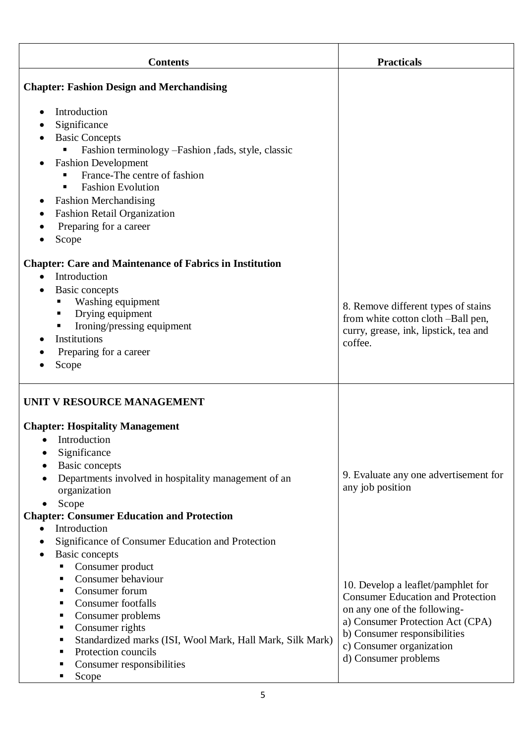| <b>Contents</b>                                                                                                                                                                                                                                                                                                                                                                   | <b>Practicals</b>                                                                                                                                                                                                                      |
|-----------------------------------------------------------------------------------------------------------------------------------------------------------------------------------------------------------------------------------------------------------------------------------------------------------------------------------------------------------------------------------|----------------------------------------------------------------------------------------------------------------------------------------------------------------------------------------------------------------------------------------|
| <b>Chapter: Fashion Design and Merchandising</b>                                                                                                                                                                                                                                                                                                                                  |                                                                                                                                                                                                                                        |
| Introduction<br>Significance<br><b>Basic Concepts</b><br>Fashion terminology -Fashion ,fads, style, classic<br><b>Fashion Development</b><br>France-The centre of fashion<br><b>Fashion Evolution</b><br><b>Fashion Merchandising</b><br>$\bullet$<br><b>Fashion Retail Organization</b>                                                                                          |                                                                                                                                                                                                                                        |
| Preparing for a career<br>Scope                                                                                                                                                                                                                                                                                                                                                   |                                                                                                                                                                                                                                        |
| <b>Chapter: Care and Maintenance of Fabrics in Institution</b><br>Introduction<br>$\bullet$<br>Basic concepts<br>Washing equipment<br>п<br>Drying equipment<br>п<br>Ironing/pressing equipment<br>п<br>Institutions<br>Preparing for a career<br>Scope                                                                                                                            | 8. Remove different types of stains<br>from white cotton cloth -Ball pen,<br>curry, grease, ink, lipstick, tea and<br>coffee.                                                                                                          |
| UNIT V RESOURCE MANAGEMENT<br><b>Chapter: Hospitality Management</b><br>• Introduction<br>Significance<br><b>Basic concepts</b><br>$\bullet$<br>Departments involved in hospitality management of an<br>organization<br>Scope<br><b>Chapter: Consumer Education and Protection</b><br>Introduction<br>$\bullet$<br>Significance of Consumer Education and Protection<br>$\bullet$ | 9. Evaluate any one advertisement for<br>any job position                                                                                                                                                                              |
| <b>Basic concepts</b><br>Consumer product<br>Consumer behaviour<br>Consumer forum<br>п<br><b>Consumer</b> footfalls<br>п<br>Consumer problems<br>п<br>Consumer rights<br>п<br>Standardized marks (ISI, Wool Mark, Hall Mark, Silk Mark)<br>п<br>Protection councils<br>п<br>Consumer responsibilities<br>п<br>Scope                                                               | 10. Develop a leaflet/pamphlet for<br><b>Consumer Education and Protection</b><br>on any one of the following-<br>a) Consumer Protection Act (CPA)<br>b) Consumer responsibilities<br>c) Consumer organization<br>d) Consumer problems |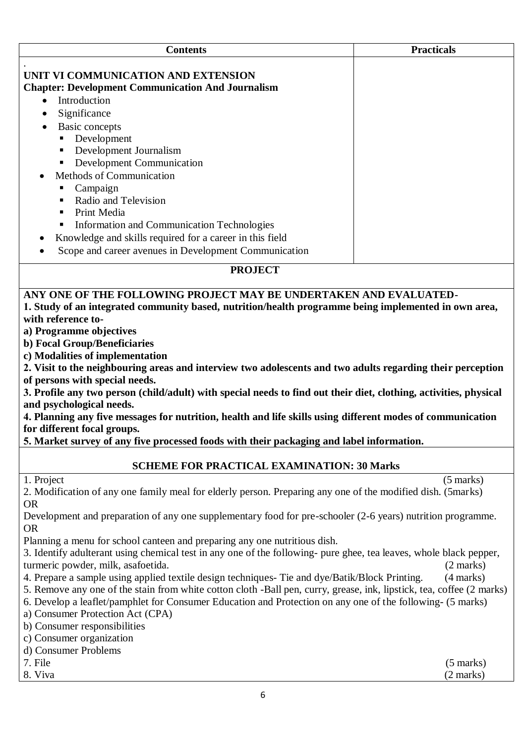| <b>Contents</b>                                                                                                       | <b>Practicals</b>   |
|-----------------------------------------------------------------------------------------------------------------------|---------------------|
|                                                                                                                       |                     |
| UNIT VI COMMUNICATION AND EXTENSION                                                                                   |                     |
| <b>Chapter: Development Communication And Journalism</b>                                                              |                     |
| Introduction<br>$\bullet$                                                                                             |                     |
| Significance                                                                                                          |                     |
| Basic concepts                                                                                                        |                     |
| Development<br>п                                                                                                      |                     |
| Development Journalism<br>п                                                                                           |                     |
| <b>Development Communication</b><br>Ξ                                                                                 |                     |
| Methods of Communication                                                                                              |                     |
| Campaign<br>п                                                                                                         |                     |
| Radio and Television<br>п                                                                                             |                     |
| Print Media<br>п                                                                                                      |                     |
| Information and Communication Technologies<br>п                                                                       |                     |
| Knowledge and skills required for a career in this field                                                              |                     |
| Scope and career avenues in Development Communication                                                                 |                     |
|                                                                                                                       |                     |
| <b>PROJECT</b>                                                                                                        |                     |
| ANY ONE OF THE FOLLOWING PROJECT MAY BE UNDERTAKEN AND EVALUATED-                                                     |                     |
| 1. Study of an integrated community based, nutrition/health programme being implemented in own area,                  |                     |
| with reference to-                                                                                                    |                     |
| a) Programme objectives                                                                                               |                     |
| b) Focal Group/Beneficiaries                                                                                          |                     |
| c) Modalities of implementation                                                                                       |                     |
| 2. Visit to the neighbouring areas and interview two adolescents and two adults regarding their perception            |                     |
| of persons with special needs.                                                                                        |                     |
| 3. Profile any two person (child/adult) with special needs to find out their diet, clothing, activities, physical     |                     |
| and psychological needs.                                                                                              |                     |
| 4. Planning any five messages for nutrition, health and life skills using different modes of communication            |                     |
| for different focal groups.                                                                                           |                     |
| 5. Market survey of any five processed foods with their packaging and label information.                              |                     |
|                                                                                                                       |                     |
| <b>SCHEME FOR PRACTICAL EXAMINATION: 30 Marks</b>                                                                     |                     |
| 1. Project                                                                                                            | $(5 \text{ marks})$ |
| 2. Modification of any one family meal for elderly person. Preparing any one of the modified dish. (5marks)           |                     |
| <b>OR</b>                                                                                                             |                     |
| Development and preparation of any one supplementary food for pre-schooler (2-6 years) nutrition programme.           |                     |
| <b>OR</b>                                                                                                             |                     |
| Planning a menu for school canteen and preparing any one nutritious dish.                                             |                     |
| 3. Identify adulterant using chemical test in any one of the following- pure ghee, tea leaves, whole black pepper,    |                     |
| turmeric powder, milk, asafoetida.                                                                                    | $(2 \text{ marks})$ |
| 4. Prepare a sample using applied textile design techniques- Tie and dye/Batik/Block Printing.                        | (4 marks)           |
| 5. Remove any one of the stain from white cotton cloth -Ball pen, curry, grease, ink, lipstick, tea, coffee (2 marks) |                     |
| 6. Develop a leaflet/pamphlet for Consumer Education and Protection on any one of the following- (5 marks)            |                     |
| a) Consumer Protection Act (CPA)                                                                                      |                     |
| b) Consumer responsibilities                                                                                          |                     |
| c) Consumer organization                                                                                              |                     |
| d) Consumer Problems                                                                                                  |                     |
| 7. File                                                                                                               | $(5 \text{ marks})$ |
| 8. Viva                                                                                                               | (2 marks)           |
|                                                                                                                       |                     |